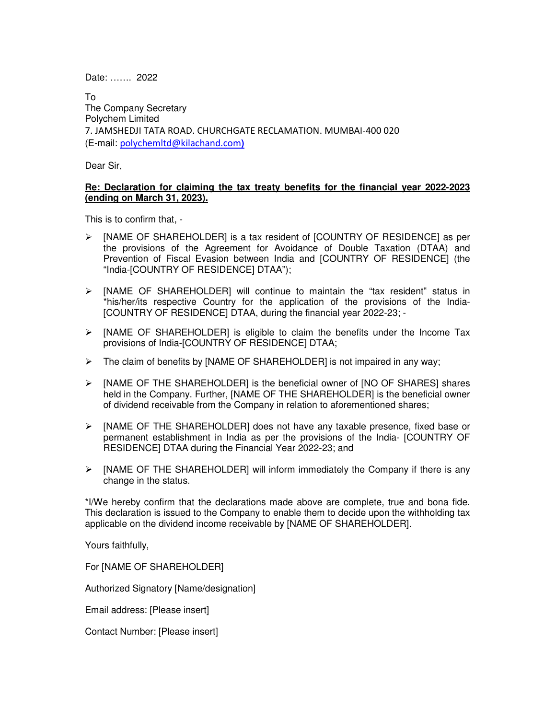Date: ……. 2022

To The Company Secretary Polychem Limited 7. JAMSHEDJI TATA ROAD. CHURCHGATE RECLAMATION. MUMBAI-400 020 (E-mail: polychemltd@kilachand.com**)**

Dear Sir,

## **Re: Declaration for claiming the tax treaty benefits for the financial year 2022-2023 (ending on March 31, 2023).**

This is to confirm that, -

- $\triangleright$  [NAME OF SHAREHOLDER] is a tax resident of [COUNTRY OF RESIDENCE] as per the provisions of the Agreement for Avoidance of Double Taxation (DTAA) and Prevention of Fiscal Evasion between India and [COUNTRY OF RESIDENCE] (the "India-[COUNTRY OF RESIDENCE] DTAA");
- $\triangleright$  [NAME OF SHAREHOLDER] will continue to maintain the "tax resident" status in \*his/her/its respective Country for the application of the provisions of the India- [COUNTRY OF RESIDENCE] DTAA, during the financial year 2022-23; -
- $\triangleright$  [NAME OF SHAREHOLDER] is eligible to claim the benefits under the Income Tax provisions of India-[COUNTRY OF RESIDENCE] DTAA;
- $\triangleright$  The claim of benefits by [NAME OF SHAREHOLDER] is not impaired in any way;
- $\triangleright$  [NAME OF THE SHAREHOLDER] is the beneficial owner of [NO OF SHARES] shares held in the Company. Further, [NAME OF THE SHAREHOLDER] is the beneficial owner of dividend receivable from the Company in relation to aforementioned shares;
- $\triangleright$  [NAME OF THE SHAREHOLDER] does not have any taxable presence, fixed base or permanent establishment in India as per the provisions of the India- [COUNTRY OF RESIDENCE] DTAA during the Financial Year 2022-23; and
- $\triangleright$  [NAME OF THE SHAREHOLDER] will inform immediately the Company if there is any change in the status.

\*I/We hereby confirm that the declarations made above are complete, true and bona fide. This declaration is issued to the Company to enable them to decide upon the withholding tax applicable on the dividend income receivable by [NAME OF SHAREHOLDER].

Yours faithfully,

For [NAME OF SHAREHOLDER]

Authorized Signatory [Name/designation]

Email address: [Please insert]

Contact Number: [Please insert]